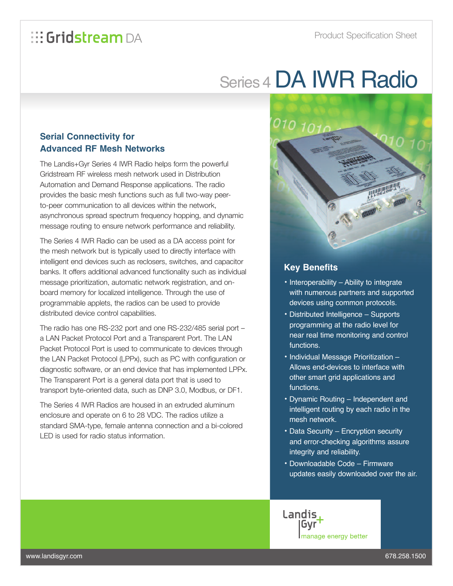## Series 4DA IWR Radio

## **Serial Connectivity for Advanced RF Mesh Networks**

The Landis+Gyr Series 4 IWR Radio helps form the powerful Gridstream RF wireless mesh network used in Distribution Automation and Demand Response applications. The radio provides the basic mesh functions such as full two-way peerto-peer communication to all devices within the network, asynchronous spread spectrum frequency hopping, and dynamic message routing to ensure network performance and reliability.

The Series 4 IWR Radio can be used as a DA access point for the mesh network but is typically used to directly interface with intelligent end devices such as reclosers, switches, and capacitor banks. It offers additional advanced functionality such as individual message prioritization, automatic network registration, and onboard memory for localized intelligence. Through the use of programmable applets, the radios can be used to provide distributed device control capabilities.

The radio has one RS-232 port and one RS-232/485 serial port – a LAN Packet Protocol Port and a Transparent Port. The LAN Packet Protocol Port is used to communicate to devices through the LAN Packet Protocol (LPPx), such as PC with configuration or diagnostic software, or an end device that has implemented LPPx. The Transparent Port is a general data port that is used to transport byte-oriented data, such as DNP 3.0, Modbus, or DF1.

The Series 4 IWR Radios are housed in an extruded aluminum enclosure and operate on 6 to 28 VDC. The radios utilize a standard SMA-type, female antenna connection and a bi-colored LED is used for radio status information.



## **Key Benefits**

- Interoperability Ability to integrate with numerous partners and supported devices using common protocols.
- Distributed Intelligence Supports programming at the radio level for near real time monitoring and control functions.
- Individual Message Prioritization Allows end-devices to interface with other smart grid applications and functions.
- Dynamic Routing Independent and intelligent routing by each radio in the mesh network.
- Data Security Encryption security and error-checking algorithms assure integrity and reliability.
- Downloadable Code Firmware updates easily downloaded over the air.